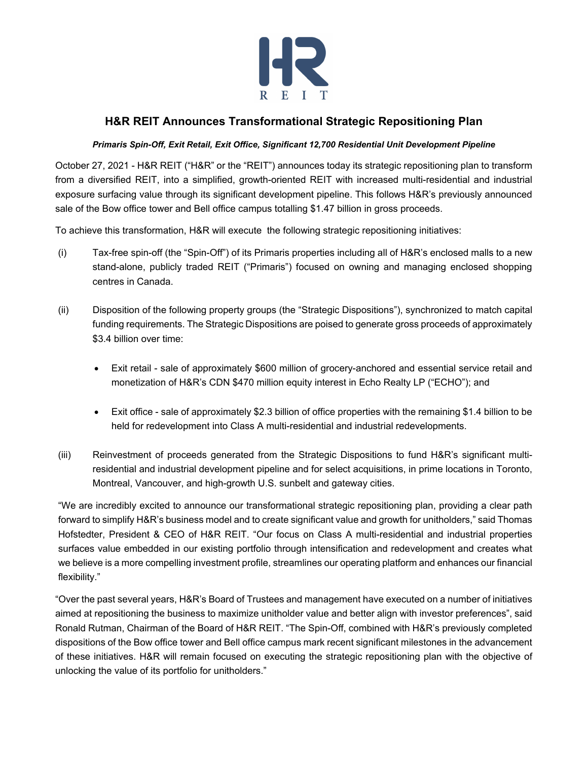

# **H&R REIT Announces Transformational Strategic Repositioning Plan**

### *Primaris Spin-Off, Exit Retail, Exit Office, Significant 12,700 Residential Unit Development Pipeline*

October 27, 2021 - H&R REIT ("H&R" or the "REIT") announces today its strategic repositioning plan to transform from a diversified REIT, into a simplified, growth-oriented REIT with increased multi-residential and industrial exposure surfacing value through its significant development pipeline. This follows H&R's previously announced sale of the Bow office tower and Bell office campus totalling \$1.47 billion in gross proceeds.

To achieve this transformation, H&R will execute the following strategic repositioning initiatives:

- (i) Tax-free spin-off (the "Spin-Off") of its Primaris properties including all of H&R's enclosed malls to a new stand-alone, publicly traded REIT ("Primaris") focused on owning and managing enclosed shopping centres in Canada.
- (ii) Disposition of the following property groups (the "Strategic Dispositions"), synchronized to match capital funding requirements. The Strategic Dispositions are poised to generate gross proceeds of approximately \$3.4 billion over time:
	- Exit retail sale of approximately \$600 million of grocery-anchored and essential service retail and monetization of H&R's CDN \$470 million equity interest in Echo Realty LP ("ECHO"); and
	- Exit office sale of approximately \$2.3 billion of office properties with the remaining \$1.4 billion to be held for redevelopment into Class A multi-residential and industrial redevelopments.
- (iii) Reinvestment of proceeds generated from the Strategic Dispositions to fund H&R's significant multiresidential and industrial development pipeline and for select acquisitions, in prime locations in Toronto, Montreal, Vancouver, and high-growth U.S. sunbelt and gateway cities.

"We are incredibly excited to announce our transformational strategic repositioning plan, providing a clear path forward to simplify H&R's business model and to create significant value and growth for unitholders," said Thomas Hofstedter, President & CEO of H&R REIT. "Our focus on Class A multi-residential and industrial properties surfaces value embedded in our existing portfolio through intensification and redevelopment and creates what we believe is a more compelling investment profile, streamlines our operating platform and enhances our financial flexibility."

"Over the past several years, H&R's Board of Trustees and management have executed on a number of initiatives aimed at repositioning the business to maximize unitholder value and better align with investor preferences", said Ronald Rutman, Chairman of the Board of H&R REIT. "The Spin-Off, combined with H&R's previously completed dispositions of the Bow office tower and Bell office campus mark recent significant milestones in the advancement of these initiatives. H&R will remain focused on executing the strategic repositioning plan with the objective of unlocking the value of its portfolio for unitholders."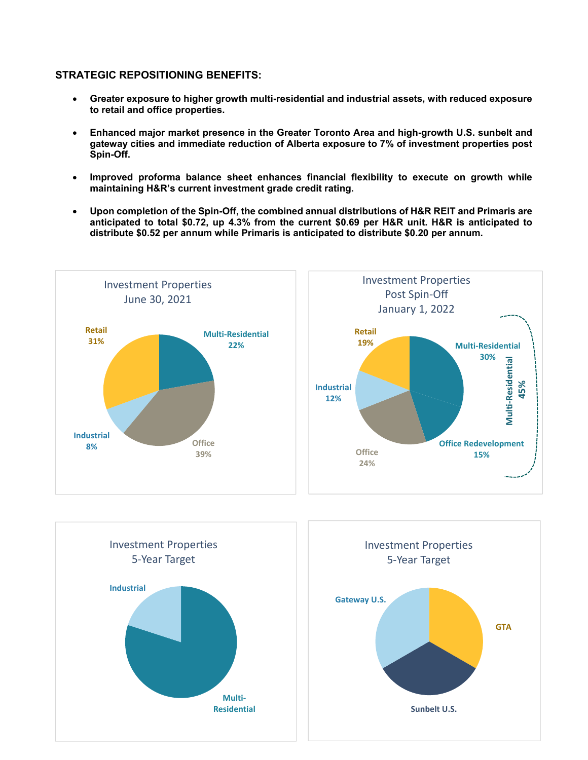### **STRATEGIC REPOSITIONING BENEFITS:**

- **Greater exposure to higher growth multi-residential and industrial assets, with reduced exposure to retail and office properties.**
- **Enhanced major market presence in the Greater Toronto Area and high-growth U.S. sunbelt and gateway cities and immediate reduction of Alberta exposure to 7% of investment properties post Spin-Off.**
- **Improved proforma balance sheet enhances financial flexibility to execute on growth while maintaining H&R's current investment grade credit rating.**
- **Upon completion of the Spin-Off, the combined annual distributions of H&R REIT and Primaris are anticipated to total \$0.72, up 4.3% from the current \$0.69 per H&R unit. H&R is anticipated to distribute \$0.52 per annum while Primaris is anticipated to distribute \$0.20 per annum.**

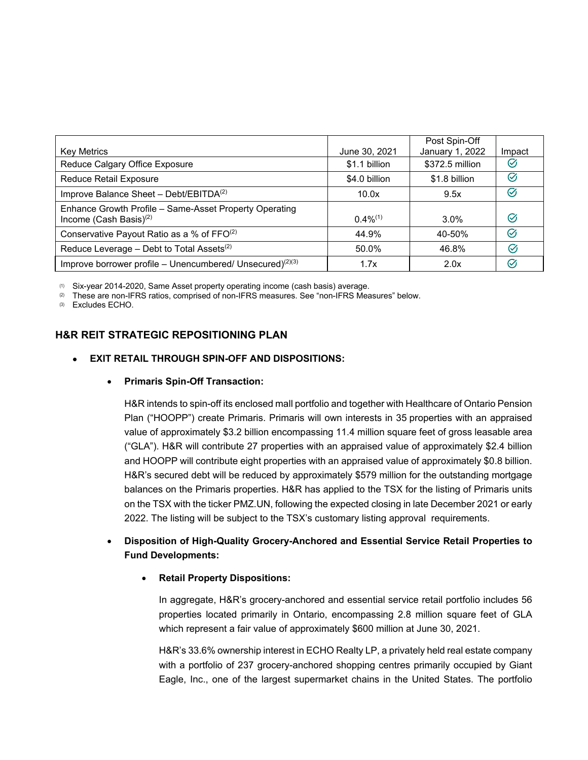|                                                              |               | Post Spin-Off   |               |
|--------------------------------------------------------------|---------------|-----------------|---------------|
| <b>Key Metrics</b>                                           | June 30, 2021 | January 1, 2022 | Impact        |
| Reduce Calgary Office Exposure                               | \$1.1 billion | \$372.5 million | $\varnothing$ |
| Reduce Retail Exposure                                       | \$4.0 billion | \$1.8 billion   | $\oslash$     |
| Improve Balance Sheet - Debt/EBITDA <sup>(2)</sup>           | 10.0x         | 9.5x            | $\varnothing$ |
| Enhance Growth Profile – Same-Asset Property Operating       |               |                 |               |
| Income (Cash Basis) $(2)$                                    | $0.4\%^{(1)}$ | 3.0%            | $\varnothing$ |
| Conservative Payout Ratio as a % of FFO <sup>(2)</sup>       | 44.9%         | 40-50%          | $\varnothing$ |
| Reduce Leverage - Debt to Total Assets <sup>(2)</sup>        | 50.0%         | 46.8%           | Ø             |
| Improve borrower profile – Unencumbered/ Unsecured) $(2)(3)$ | 1.7x          | 2.0x            | $\varnothing$ |

(1) Six-year 2014-2020, Same Asset property operating income (cash basis) average.

(2) These are non-IFRS ratios, comprised of non-IFRS measures. See "non-IFRS Measures" below.

(3) Excludes ECHO.

## **H&R REIT STRATEGIC REPOSITIONING PLAN**

### **EXIT RETAIL THROUGH SPIN-OFF AND DISPOSITIONS:**

#### **Primaris Spin-Off Transaction:**

H&R intends to spin-off its enclosed mall portfolio and together with Healthcare of Ontario Pension Plan ("HOOPP") create Primaris. Primaris will own interests in 35 properties with an appraised value of approximately \$3.2 billion encompassing 11.4 million square feet of gross leasable area ("GLA"). H&R will contribute 27 properties with an appraised value of approximately \$2.4 billion and HOOPP will contribute eight properties with an appraised value of approximately \$0.8 billion. H&R's secured debt will be reduced by approximately \$579 million for the outstanding mortgage balances on the Primaris properties. H&R has applied to the TSX for the listing of Primaris units on the TSX with the ticker PMZ.UN, following the expected closing in late December 2021 or early 2022. The listing will be subject to the TSX's customary listing approval requirements.

## **Disposition of High-Quality Grocery-Anchored and Essential Service Retail Properties to Fund Developments:**

### **Retail Property Dispositions:**

In aggregate, H&R's grocery-anchored and essential service retail portfolio includes 56 properties located primarily in Ontario, encompassing 2.8 million square feet of GLA which represent a fair value of approximately \$600 million at June 30, 2021.

H&R's 33.6% ownership interest in ECHO Realty LP, a privately held real estate company with a portfolio of 237 grocery-anchored shopping centres primarily occupied by Giant Eagle, Inc., one of the largest supermarket chains in the United States. The portfolio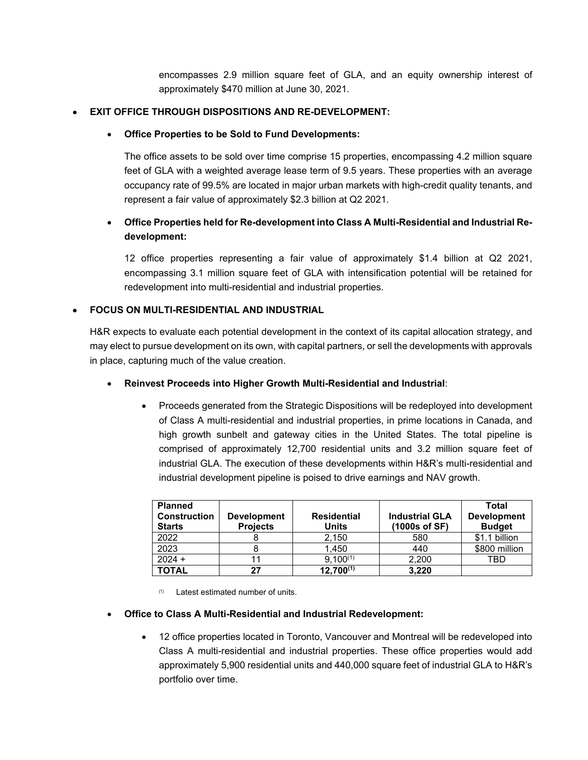encompasses 2.9 million square feet of GLA, and an equity ownership interest of approximately \$470 million at June 30, 2021.

### **EXIT OFFICE THROUGH DISPOSITIONS AND RE-DEVELOPMENT:**

### **Office Properties to be Sold to Fund Developments:**

The office assets to be sold over time comprise 15 properties, encompassing 4.2 million square feet of GLA with a weighted average lease term of 9.5 years. These properties with an average occupancy rate of 99.5% are located in major urban markets with high-credit quality tenants, and represent a fair value of approximately \$2.3 billion at Q2 2021.

## **Office Properties held for Re-development into Class A Multi-Residential and Industrial Redevelopment:**

12 office properties representing a fair value of approximately \$1.4 billion at Q2 2021, encompassing 3.1 million square feet of GLA with intensification potential will be retained for redevelopment into multi-residential and industrial properties.

### **FOCUS ON MULTI-RESIDENTIAL AND INDUSTRIAL**

H&R expects to evaluate each potential development in the context of its capital allocation strategy, and may elect to pursue development on its own, with capital partners, or sell the developments with approvals in place, capturing much of the value creation.

- **Reinvest Proceeds into Higher Growth Multi-Residential and Industrial**:
	- Proceeds generated from the Strategic Dispositions will be redeployed into development of Class A multi-residential and industrial properties, in prime locations in Canada, and high growth sunbelt and gateway cities in the United States. The total pipeline is comprised of approximately 12,700 residential units and 3.2 million square feet of industrial GLA. The execution of these developments within H&R's multi-residential and industrial development pipeline is poised to drive earnings and NAV growth.

| <b>Planned</b><br><b>Construction</b><br><b>Starts</b> | <b>Development</b><br><b>Projects</b> | <b>Residential</b><br>Units | <b>Industrial GLA</b><br>$(1000s$ of SF) | Total<br><b>Development</b><br><b>Budget</b> |
|--------------------------------------------------------|---------------------------------------|-----------------------------|------------------------------------------|----------------------------------------------|
| 2022                                                   |                                       | 2.150                       | 580                                      | \$1.1 billion                                |
| 2023                                                   | ŏ                                     | 1.450                       | 440                                      | \$800 million                                |
| $2024 +$                                               | 11                                    | $9,100^{(1)}$               | 2.200                                    | TBD                                          |
| <b>TOTAL</b>                                           | 27                                    | $12,700^{(1)}$              | 3,220                                    |                                              |

(1) Latest estimated number of units.

### **Office to Class A Multi-Residential and Industrial Redevelopment:**

 12 office properties located in Toronto, Vancouver and Montreal will be redeveloped into Class A multi-residential and industrial properties. These office properties would add approximately 5,900 residential units and 440,000 square feet of industrial GLA to H&R's portfolio over time.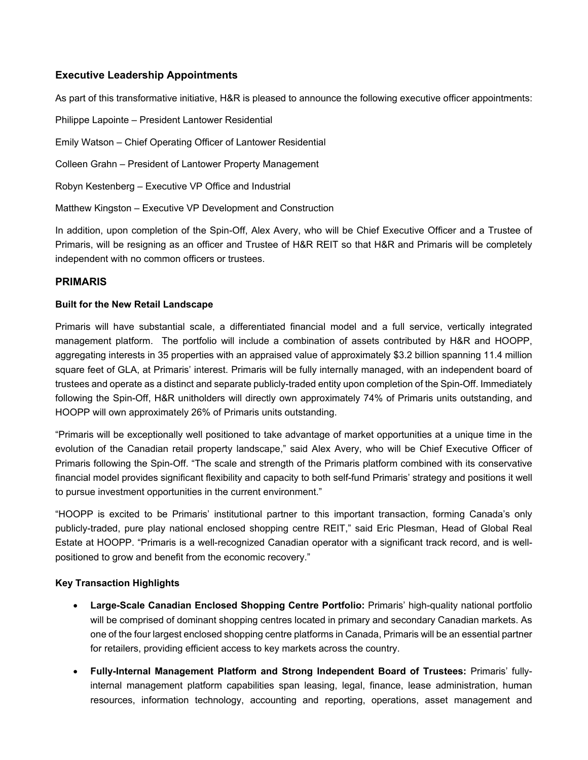### **Executive Leadership Appointments**

As part of this transformative initiative, H&R is pleased to announce the following executive officer appointments:

Philippe Lapointe – President Lantower Residential

Emily Watson – Chief Operating Officer of Lantower Residential

Colleen Grahn – President of Lantower Property Management

Robyn Kestenberg – Executive VP Office and Industrial

Matthew Kingston – Executive VP Development and Construction

In addition, upon completion of the Spin-Off, Alex Avery, who will be Chief Executive Officer and a Trustee of Primaris, will be resigning as an officer and Trustee of H&R REIT so that H&R and Primaris will be completely independent with no common officers or trustees.

### **PRIMARIS**

### **Built for the New Retail Landscape**

Primaris will have substantial scale, a differentiated financial model and a full service, vertically integrated management platform. The portfolio will include a combination of assets contributed by H&R and HOOPP, aggregating interests in 35 properties with an appraised value of approximately \$3.2 billion spanning 11.4 million square feet of GLA, at Primaris' interest. Primaris will be fully internally managed, with an independent board of trustees and operate as a distinct and separate publicly-traded entity upon completion of the Spin-Off. Immediately following the Spin-Off, H&R unitholders will directly own approximately 74% of Primaris units outstanding, and HOOPP will own approximately 26% of Primaris units outstanding.

"Primaris will be exceptionally well positioned to take advantage of market opportunities at a unique time in the evolution of the Canadian retail property landscape," said Alex Avery, who will be Chief Executive Officer of Primaris following the Spin-Off. "The scale and strength of the Primaris platform combined with its conservative financial model provides significant flexibility and capacity to both self-fund Primaris' strategy and positions it well to pursue investment opportunities in the current environment."

"HOOPP is excited to be Primaris' institutional partner to this important transaction, forming Canada's only publicly-traded, pure play national enclosed shopping centre REIT," said Eric Plesman, Head of Global Real Estate at HOOPP. "Primaris is a well-recognized Canadian operator with a significant track record, and is wellpositioned to grow and benefit from the economic recovery."

### **Key Transaction Highlights**

- **Large-Scale Canadian Enclosed Shopping Centre Portfolio:** Primaris' high-quality national portfolio will be comprised of dominant shopping centres located in primary and secondary Canadian markets. As one of the four largest enclosed shopping centre platforms in Canada, Primaris will be an essential partner for retailers, providing efficient access to key markets across the country.
- **Fully-Internal Management Platform and Strong Independent Board of Trustees:** Primaris' fullyinternal management platform capabilities span leasing, legal, finance, lease administration, human resources, information technology, accounting and reporting, operations, asset management and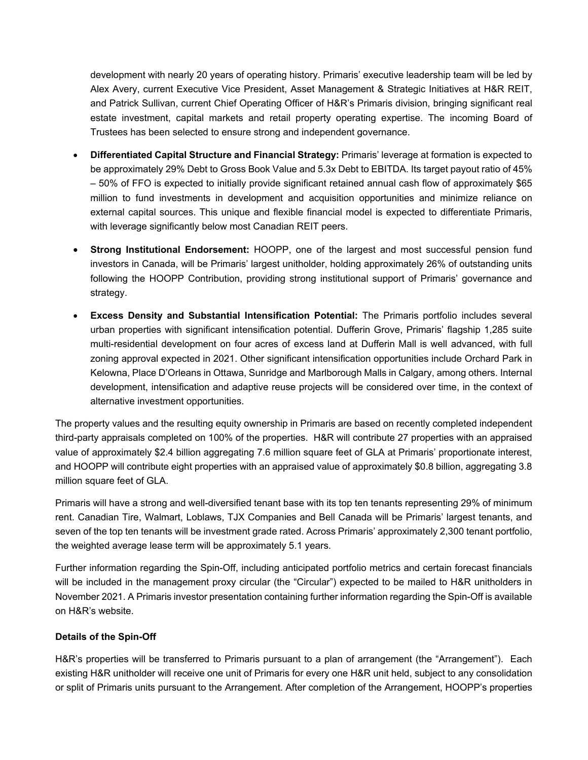development with nearly 20 years of operating history. Primaris' executive leadership team will be led by Alex Avery, current Executive Vice President, Asset Management & Strategic Initiatives at H&R REIT, and Patrick Sullivan, current Chief Operating Officer of H&R's Primaris division, bringing significant real estate investment, capital markets and retail property operating expertise. The incoming Board of Trustees has been selected to ensure strong and independent governance.

- **Differentiated Capital Structure and Financial Strategy:** Primaris' leverage at formation is expected to be approximately 29% Debt to Gross Book Value and 5.3x Debt to EBITDA. Its target payout ratio of 45% – 50% of FFO is expected to initially provide significant retained annual cash flow of approximately \$65 million to fund investments in development and acquisition opportunities and minimize reliance on external capital sources. This unique and flexible financial model is expected to differentiate Primaris, with leverage significantly below most Canadian REIT peers.
- **Strong Institutional Endorsement:** HOOPP, one of the largest and most successful pension fund investors in Canada, will be Primaris' largest unitholder, holding approximately 26% of outstanding units following the HOOPP Contribution, providing strong institutional support of Primaris' governance and strategy.
- **Excess Density and Substantial Intensification Potential:** The Primaris portfolio includes several urban properties with significant intensification potential. Dufferin Grove, Primaris' flagship 1,285 suite multi-residential development on four acres of excess land at Dufferin Mall is well advanced, with full zoning approval expected in 2021. Other significant intensification opportunities include Orchard Park in Kelowna, Place D'Orleans in Ottawa, Sunridge and Marlborough Malls in Calgary, among others. Internal development, intensification and adaptive reuse projects will be considered over time, in the context of alternative investment opportunities.

The property values and the resulting equity ownership in Primaris are based on recently completed independent third-party appraisals completed on 100% of the properties. H&R will contribute 27 properties with an appraised value of approximately \$2.4 billion aggregating 7.6 million square feet of GLA at Primaris' proportionate interest, and HOOPP will contribute eight properties with an appraised value of approximately \$0.8 billion, aggregating 3.8 million square feet of GLA.

Primaris will have a strong and well-diversified tenant base with its top ten tenants representing 29% of minimum rent. Canadian Tire, Walmart, Loblaws, TJX Companies and Bell Canada will be Primaris' largest tenants, and seven of the top ten tenants will be investment grade rated. Across Primaris' approximately 2,300 tenant portfolio, the weighted average lease term will be approximately 5.1 years.

Further information regarding the Spin-Off, including anticipated portfolio metrics and certain forecast financials will be included in the management proxy circular (the "Circular") expected to be mailed to H&R unitholders in November 2021. A Primaris investor presentation containing further information regarding the Spin-Off is available on H&R's website.

### **Details of the Spin-Off**

H&R's properties will be transferred to Primaris pursuant to a plan of arrangement (the "Arrangement"). Each existing H&R unitholder will receive one unit of Primaris for every one H&R unit held, subject to any consolidation or split of Primaris units pursuant to the Arrangement. After completion of the Arrangement, HOOPP's properties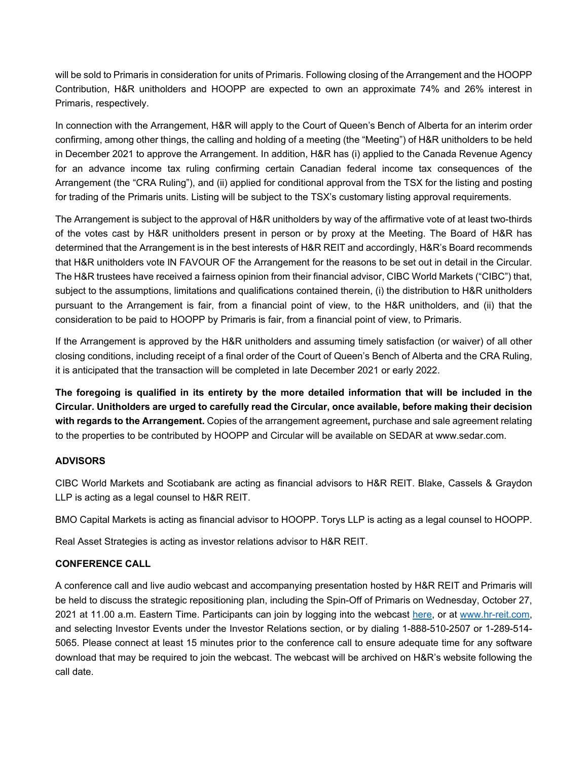will be sold to Primaris in consideration for units of Primaris. Following closing of the Arrangement and the HOOPP Contribution, H&R unitholders and HOOPP are expected to own an approximate 74% and 26% interest in Primaris, respectively.

In connection with the Arrangement, H&R will apply to the Court of Queen's Bench of Alberta for an interim order confirming, among other things, the calling and holding of a meeting (the "Meeting") of H&R unitholders to be held in December 2021 to approve the Arrangement. In addition, H&R has (i) applied to the Canada Revenue Agency for an advance income tax ruling confirming certain Canadian federal income tax consequences of the Arrangement (the "CRA Ruling"), and (ii) applied for conditional approval from the TSX for the listing and posting for trading of the Primaris units. Listing will be subject to the TSX's customary listing approval requirements.

The Arrangement is subject to the approval of H&R unitholders by way of the affirmative vote of at least two-thirds of the votes cast by H&R unitholders present in person or by proxy at the Meeting. The Board of H&R has determined that the Arrangement is in the best interests of H&R REIT and accordingly, H&R's Board recommends that H&R unitholders vote IN FAVOUR OF the Arrangement for the reasons to be set out in detail in the Circular. The H&R trustees have received a fairness opinion from their financial advisor, CIBC World Markets ("CIBC") that, subject to the assumptions, limitations and qualifications contained therein, (i) the distribution to H&R unitholders pursuant to the Arrangement is fair, from a financial point of view, to the H&R unitholders, and (ii) that the consideration to be paid to HOOPP by Primaris is fair, from a financial point of view, to Primaris.

If the Arrangement is approved by the H&R unitholders and assuming timely satisfaction (or waiver) of all other closing conditions, including receipt of a final order of the Court of Queen's Bench of Alberta and the CRA Ruling, it is anticipated that the transaction will be completed in late December 2021 or early 2022.

**The foregoing is qualified in its entirety by the more detailed information that will be included in the Circular. Unitholders are urged to carefully read the Circular, once available, before making their decision with regards to the Arrangement.** Copies of the arrangement agreement**,** purchase and sale agreement relating to the properties to be contributed by HOOPP and Circular will be available on SEDAR at www.sedar.com.

### **ADVISORS**

CIBC World Markets and Scotiabank are acting as financial advisors to H&R REIT. Blake, Cassels & Graydon LLP is acting as a legal counsel to H&R REIT.

BMO Capital Markets is acting as financial advisor to HOOPP. Torys LLP is acting as a legal counsel to HOOPP.

Real Asset Strategies is acting as investor relations advisor to H&R REIT.

### **CONFERENCE CALL**

A conference call and live audio webcast and accompanying presentation hosted by H&R REIT and Primaris will be held to discuss the strategic repositioning plan, including the Spin-Off of Primaris on Wednesday, October 27, 2021 at 11.00 a.m. Eastern Time. Participants can join by logging into the webcast here, or at www.hr-reit.com, and selecting Investor Events under the Investor Relations section, or by dialing 1-888-510-2507 or 1-289-514- 5065. Please connect at least 15 minutes prior to the conference call to ensure adequate time for any software download that may be required to join the webcast. The webcast will be archived on H&R's website following the call date.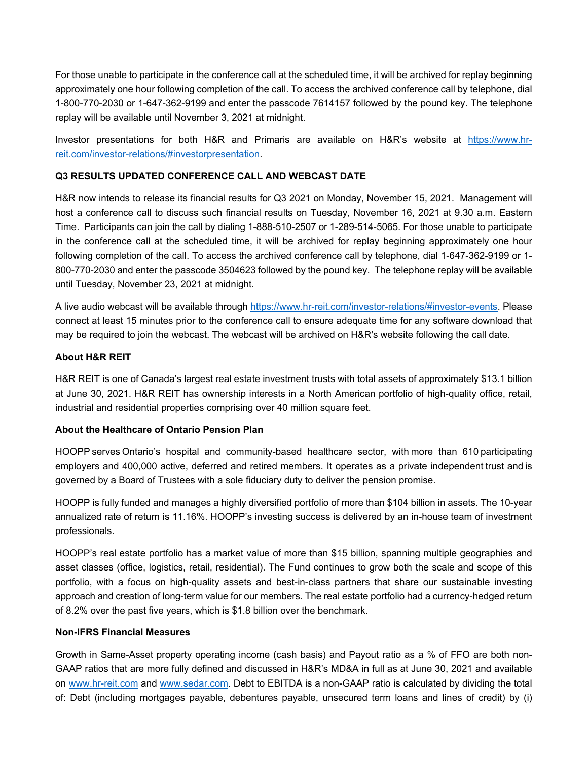For those unable to participate in the conference call at the scheduled time, it will be archived for replay beginning approximately one hour following completion of the call. To access the archived conference call by telephone, dial 1-800-770-2030 or 1-647-362-9199 and enter the passcode 7614157 followed by the pound key. The telephone replay will be available until November 3, 2021 at midnight.

Investor presentations for both H&R and Primaris are available on H&R's website at https://www.hrreit.com/investor-relations/#investorpresentation.

### **Q3 RESULTS UPDATED CONFERENCE CALL AND WEBCAST DATE**

H&R now intends to release its financial results for Q3 2021 on Monday, November 15, 2021. Management will host a conference call to discuss such financial results on Tuesday, November 16, 2021 at 9.30 a.m. Eastern Time. Participants can join the call by dialing 1-888-510-2507 or 1-289-514-5065. For those unable to participate in the conference call at the scheduled time, it will be archived for replay beginning approximately one hour following completion of the call. To access the archived conference call by telephone, dial 1-647-362-9199 or 1- 800-770-2030 and enter the passcode 3504623 followed by the pound key. The telephone replay will be available until Tuesday, November 23, 2021 at midnight.

A live audio webcast will be available through https://www.hr-reit.com/investor-relations/#investor-events. Please connect at least 15 minutes prior to the conference call to ensure adequate time for any software download that may be required to join the webcast. The webcast will be archived on H&R's website following the call date.

### **About H&R REIT**

H&R REIT is one of Canada's largest real estate investment trusts with total assets of approximately \$13.1 billion at June 30, 2021. H&R REIT has ownership interests in a North American portfolio of high-quality office, retail, industrial and residential properties comprising over 40 million square feet.

### **About the Healthcare of Ontario Pension Plan**

HOOPP serves Ontario's hospital and community-based healthcare sector, with more than 610 participating employers and 400,000 active, deferred and retired members. It operates as a private independent trust and is governed by a Board of Trustees with a sole fiduciary duty to deliver the pension promise.

HOOPP is fully funded and manages a highly diversified portfolio of more than \$104 billion in assets. The 10-year annualized rate of return is 11.16%. HOOPP's investing success is delivered by an in-house team of investment professionals.

HOOPP's real estate portfolio has a market value of more than \$15 billion, spanning multiple geographies and asset classes (office, logistics, retail, residential). The Fund continues to grow both the scale and scope of this portfolio, with a focus on high-quality assets and best-in-class partners that share our sustainable investing approach and creation of long-term value for our members. The real estate portfolio had a currency-hedged return of 8.2% over the past five years, which is \$1.8 billion over the benchmark.

### **Non-IFRS Financial Measures**

Growth in Same-Asset property operating income (cash basis) and Payout ratio as a % of FFO are both non-GAAP ratios that are more fully defined and discussed in H&R's MD&A in full as at June 30, 2021 and available on www.hr-reit.com and www.sedar.com. Debt to EBITDA is a non-GAAP ratio is calculated by dividing the total of: Debt (including mortgages payable, debentures payable, unsecured term loans and lines of credit) by (i)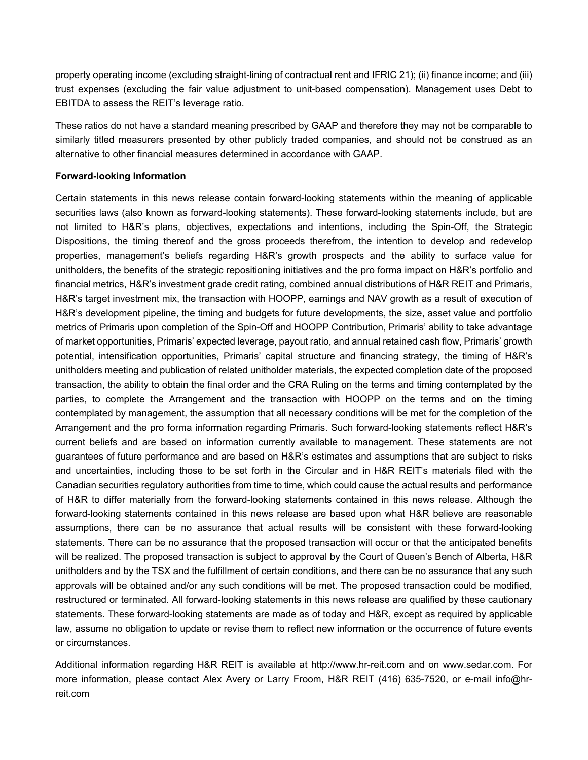property operating income (excluding straight-lining of contractual rent and IFRIC 21); (ii) finance income; and (iii) trust expenses (excluding the fair value adjustment to unit-based compensation). Management uses Debt to EBITDA to assess the REIT's leverage ratio.

These ratios do not have a standard meaning prescribed by GAAP and therefore they may not be comparable to similarly titled measurers presented by other publicly traded companies, and should not be construed as an alternative to other financial measures determined in accordance with GAAP.

#### **Forward-looking Information**

Certain statements in this news release contain forward-looking statements within the meaning of applicable securities laws (also known as forward-looking statements). These forward-looking statements include, but are not limited to H&R's plans, objectives, expectations and intentions, including the Spin-Off, the Strategic Dispositions, the timing thereof and the gross proceeds therefrom, the intention to develop and redevelop properties, management's beliefs regarding H&R's growth prospects and the ability to surface value for unitholders, the benefits of the strategic repositioning initiatives and the pro forma impact on H&R's portfolio and financial metrics, H&R's investment grade credit rating, combined annual distributions of H&R REIT and Primaris, H&R's target investment mix, the transaction with HOOPP, earnings and NAV growth as a result of execution of H&R's development pipeline, the timing and budgets for future developments, the size, asset value and portfolio metrics of Primaris upon completion of the Spin-Off and HOOPP Contribution, Primaris' ability to take advantage of market opportunities, Primaris' expected leverage, payout ratio, and annual retained cash flow, Primaris' growth potential, intensification opportunities, Primaris' capital structure and financing strategy, the timing of H&R's unitholders meeting and publication of related unitholder materials, the expected completion date of the proposed transaction, the ability to obtain the final order and the CRA Ruling on the terms and timing contemplated by the parties, to complete the Arrangement and the transaction with HOOPP on the terms and on the timing contemplated by management, the assumption that all necessary conditions will be met for the completion of the Arrangement and the pro forma information regarding Primaris. Such forward-looking statements reflect H&R's current beliefs and are based on information currently available to management. These statements are not guarantees of future performance and are based on H&R's estimates and assumptions that are subject to risks and uncertainties, including those to be set forth in the Circular and in H&R REIT's materials filed with the Canadian securities regulatory authorities from time to time, which could cause the actual results and performance of H&R to differ materially from the forward-looking statements contained in this news release. Although the forward-looking statements contained in this news release are based upon what H&R believe are reasonable assumptions, there can be no assurance that actual results will be consistent with these forward-looking statements. There can be no assurance that the proposed transaction will occur or that the anticipated benefits will be realized. The proposed transaction is subject to approval by the Court of Queen's Bench of Alberta, H&R unitholders and by the TSX and the fulfillment of certain conditions, and there can be no assurance that any such approvals will be obtained and/or any such conditions will be met. The proposed transaction could be modified, restructured or terminated. All forward-looking statements in this news release are qualified by these cautionary statements. These forward-looking statements are made as of today and H&R, except as required by applicable law, assume no obligation to update or revise them to reflect new information or the occurrence of future events or circumstances.

Additional information regarding H&R REIT is available at http://www.hr-reit.com and on www.sedar.com. For more information, please contact Alex Avery or Larry Froom, H&R REIT (416) 635-7520, or e-mail info@hrreit.com